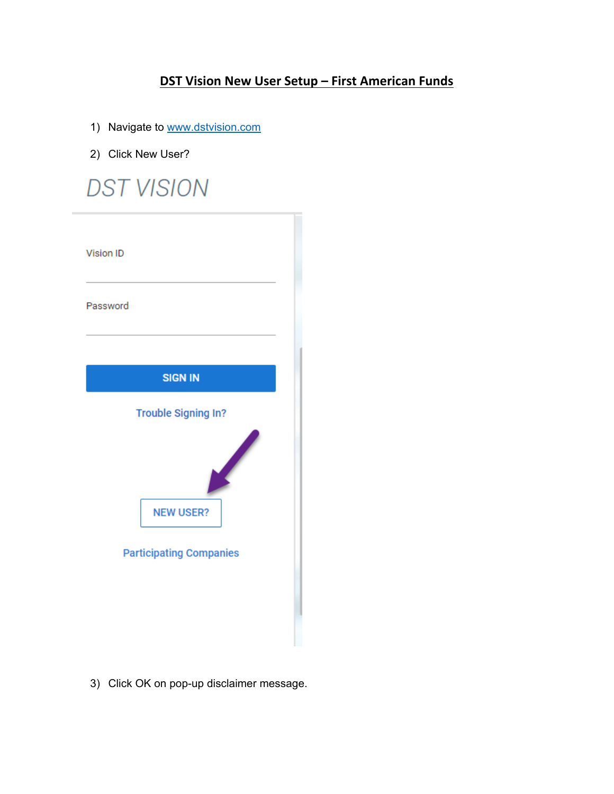## **DST Vision New User Setup – First American Funds**

- 1) Navigate to [www.dstvision.com](http://www.dstvision.com/)
- 2) Click New User?



3) Click OK on pop-up disclaimer message.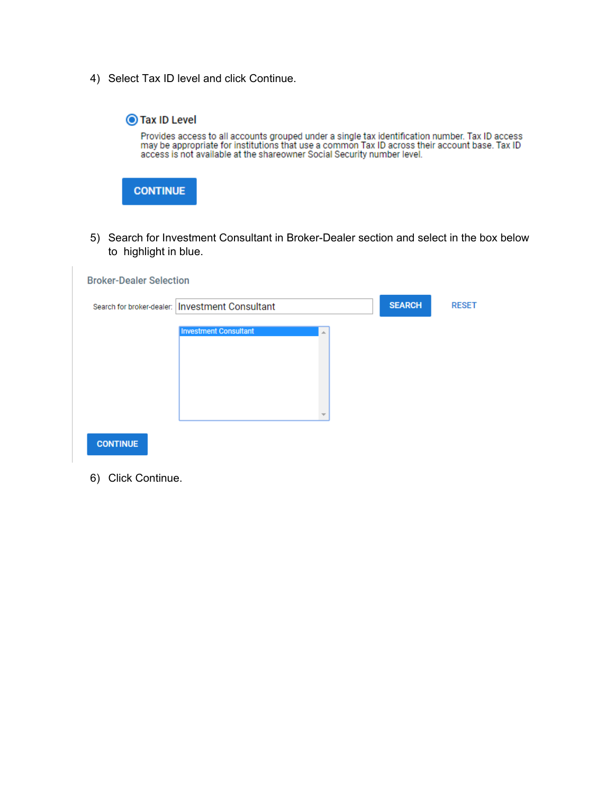4) Select Tax ID level and click Continue.



5) Search for Investment Consultant in Broker-Dealer section and select in the box below to highlight in blue.

| <b>Broker-Dealer Selection</b> | Search for broker-dealer:   Investment Consultant |   | <b>SEARCH</b> | <b>RESET</b> |
|--------------------------------|---------------------------------------------------|---|---------------|--------------|
|                                | <b>Investment Consultant</b>                      | A |               |              |
|                                |                                                   |   |               |              |
|                                |                                                   |   |               |              |
|                                |                                                   |   |               |              |
| <b>CONTINUE</b>                |                                                   |   |               |              |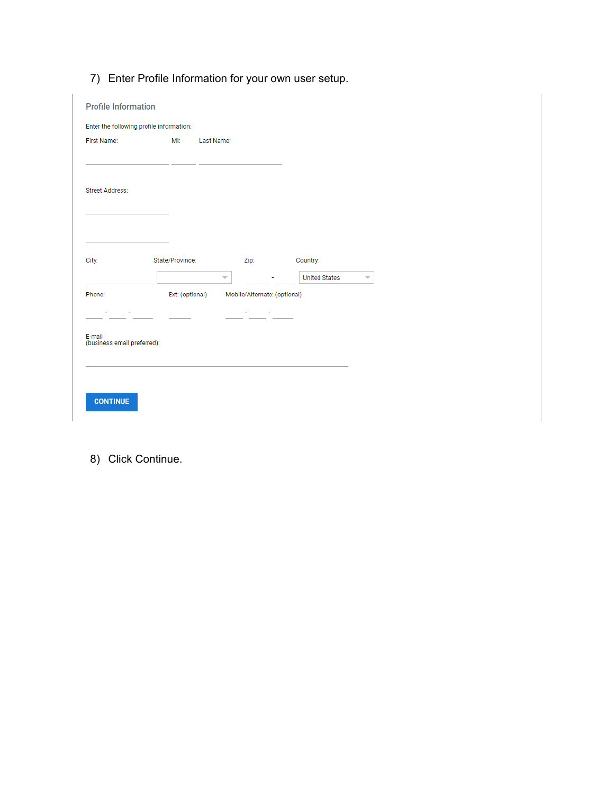7) Enter Profile Information for your own user setup.

| <b>Profile Information</b>                                 |                 |                          |                                              |                      |  |
|------------------------------------------------------------|-----------------|--------------------------|----------------------------------------------|----------------------|--|
| Enter the following profile information:                   |                 |                          |                                              |                      |  |
| First Name:                                                | MI:             | Last Name:               |                                              |                      |  |
|                                                            |                 |                          |                                              |                      |  |
| <b>Street Address:</b>                                     |                 |                          |                                              |                      |  |
|                                                            |                 |                          |                                              |                      |  |
| City:                                                      | State/Province: |                          | Zip:                                         | Country:             |  |
|                                                            |                 | $\overline{\phantom{a}}$ |                                              | <b>United States</b> |  |
| Phone:                                                     |                 |                          | Ext: (optional) Mobile/Alternate: (optional) |                      |  |
| <b>Contractor</b><br>E-mail<br>(business email preferred): |                 |                          | t i s                                        |                      |  |
|                                                            |                 |                          |                                              |                      |  |
|                                                            |                 |                          |                                              |                      |  |
| <b>CONTINUE</b>                                            |                 |                          |                                              |                      |  |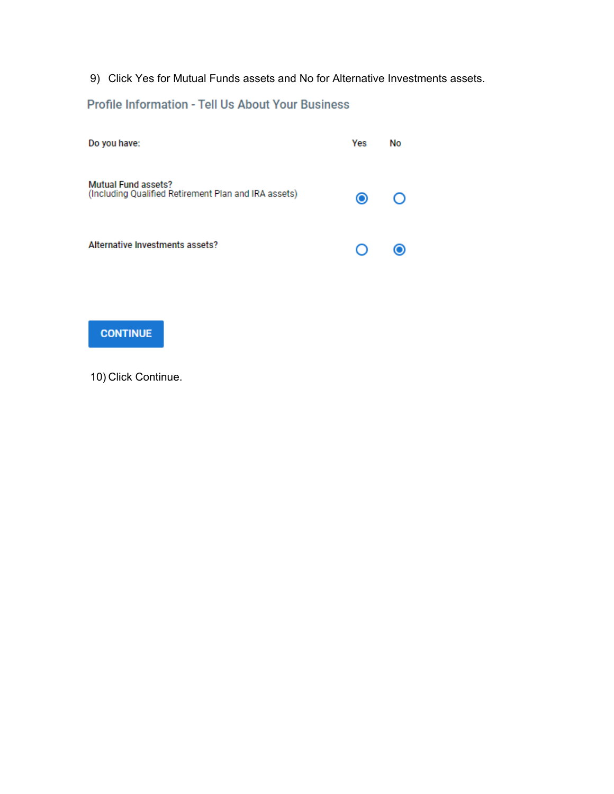9) Click Yes for Mutual Funds assets and No for Alternative Investments assets.

## Profile Information - Tell Us About Your Business

| Do you have:                                                                       | Yes     | <b>No</b> |
|------------------------------------------------------------------------------------|---------|-----------|
| <b>Mutual Fund assets?</b><br>(Including Qualified Retirement Plan and IRA assets) | $\odot$ |           |
| Alternative Investments assets?                                                    | $\cup$  |           |

## **CONTINUE**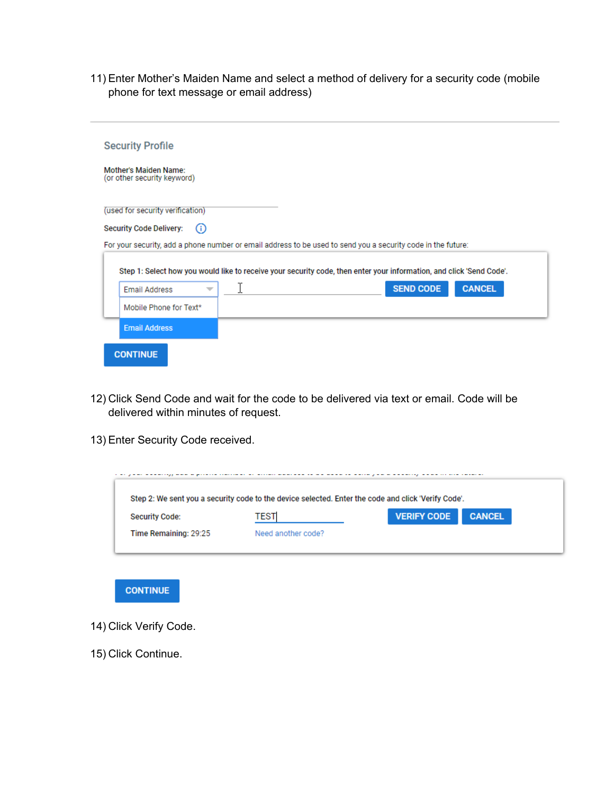11) Enter Mother's Maiden Name and select a method of delivery for a security code (mobile phone for text message or email address)

| <b>Security Profile</b>                                                                                              |
|----------------------------------------------------------------------------------------------------------------------|
| <b>Mother's Maiden Name:</b><br>(or other security keyword)                                                          |
| (used for security verification)                                                                                     |
| <b>Security Code Delivery:</b><br>(i)                                                                                |
| For your security, add a phone number or email address to be used to send you a security code in the future:         |
| Step 1: Select how you would like to receive your security code, then enter your information, and click 'Send Code'. |
| I<br><b>SEND CODE</b><br><b>CANCEL</b><br><b>Email Address</b>                                                       |
| Mobile Phone for Text*                                                                                               |
| <b>Email Address</b>                                                                                                 |
| <b>CONTINUE</b>                                                                                                      |

- 12) Click Send Code and wait for the code to be delivered via text or email. Code will be delivered within minutes of request.
- 13) Enter Security Code received.

| Step 2: We sent you a security code to the device selected. Enter the code and click 'Verify Code'. |                    |                                     |  |  |
|-----------------------------------------------------------------------------------------------------|--------------------|-------------------------------------|--|--|
| <b>Security Code:</b>                                                                               | <b>TEST</b>        | <b>VERIFY CODE</b><br><b>CANCEL</b> |  |  |
| Time Remaining: 29:25                                                                               | Need another code? |                                     |  |  |



- 14) Click Verify Code.
- 15) Click Continue.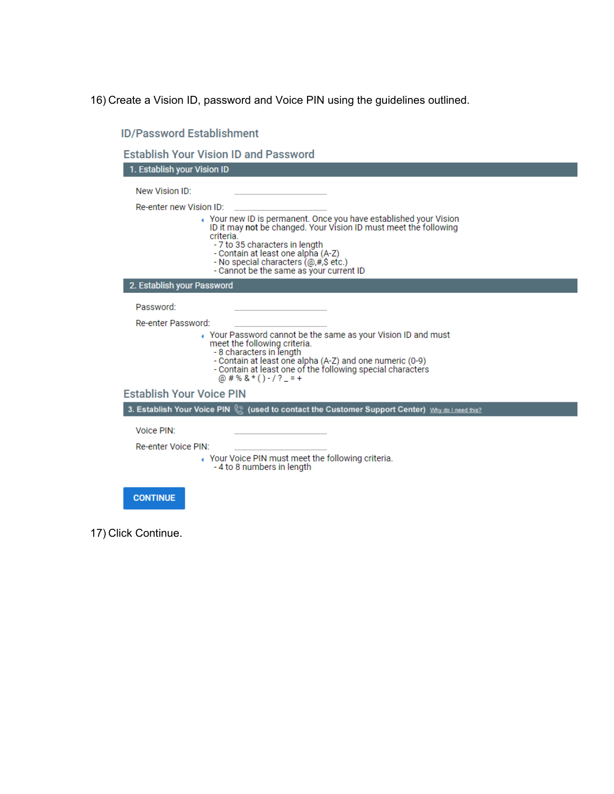16) Create a Vision ID, password and Voice PIN using the guidelines outlined.

| 1. Establish your Vision ID     |                                                                                                   |
|---------------------------------|---------------------------------------------------------------------------------------------------|
| New Vision ID:                  |                                                                                                   |
| Re-enter new Vision ID:         |                                                                                                   |
|                                 | ↑ Your new ID is permanent. Once you have established your Vision                                 |
|                                 | ID it may not be changed. Your Vision ID must meet the following                                  |
|                                 | criteria.<br>- 7 to 35 characters in length                                                       |
|                                 | - Contain at least one alpha (A-Z)                                                                |
|                                 | - No special characters (@,#,\$ etc.)<br>- Cannot be the same as your current ID                  |
|                                 |                                                                                                   |
| 2. Establish your Password      |                                                                                                   |
| Password:                       |                                                                                                   |
| Re-enter Password:              |                                                                                                   |
|                                 | ↓ Your Password cannot be the same as your Vision ID and must                                     |
|                                 | meet the following criteria.<br>- 8 characters in length                                          |
|                                 | - Contain at least one alpha (A-Z) and one numeric (0-9)                                          |
|                                 | - Contain at least one of the following special characters<br>@ # % & * () - / ? _ = +            |
| <b>Establish Your Voice PIN</b> |                                                                                                   |
|                                 | 3. Establish Your Voice PIN (2) (used to contact the Customer Support Center) Why do I need this? |
| Voice PIN:                      |                                                                                                   |
| Re-enter Voice PIN:             |                                                                                                   |
|                                 | ↑ Your Voice PIN must meet the following criteria.                                                |
|                                 | -4 to 8 numbers in length                                                                         |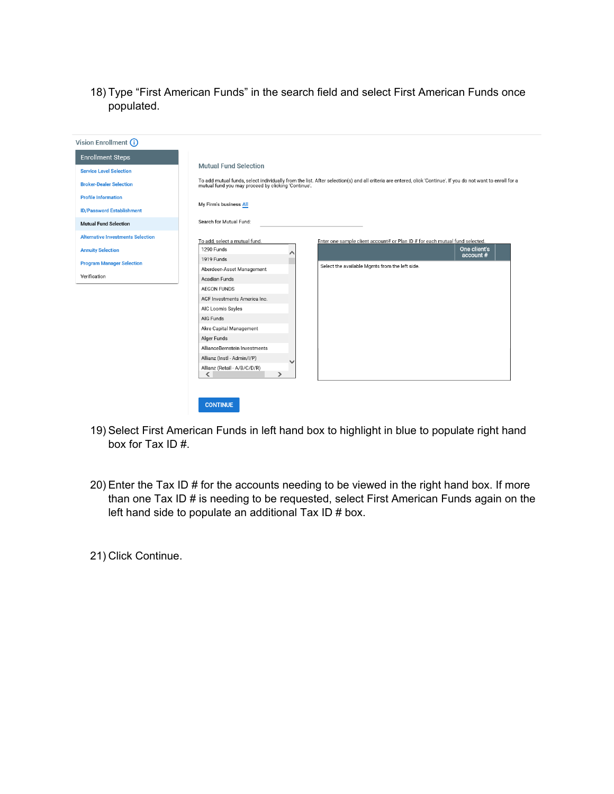18) Type "First American Funds" in the search field and select First American Funds once populated.

| My Firm's business All<br>Search for Mutual Fund:<br>To add, select a mutual fund.<br>Enter one sample client account# or Plan ID # for each mutual fund selected.<br>One client's<br>1290 Funds<br>↗<br>account#<br>1919 Funds<br>Select the available Mgmts from the left side.<br>Aberdeen-Asset Management<br><b>Acadian Funds</b><br><b>AEGON FUNDS</b><br>AGF Investments America Inc.<br>AIC Loomis Sayles<br>AIG Funds<br>Akre Capital Management | <b>Enrollment Steps</b>        | <b>Mutual Fund Selection</b>                                                                                                                                                                                         |
|-----------------------------------------------------------------------------------------------------------------------------------------------------------------------------------------------------------------------------------------------------------------------------------------------------------------------------------------------------------------------------------------------------------------------------------------------------------|--------------------------------|----------------------------------------------------------------------------------------------------------------------------------------------------------------------------------------------------------------------|
| <b>Broker-Dealer Selection</b><br><b>Profile Information</b><br><b>ID/Password Establishment</b><br><b>Mutual Fund Selection</b><br><b>Alternative Investments Selection</b><br><b>Annuity Selection</b><br><b>Program Manager Selection</b><br>Verification                                                                                                                                                                                              | <b>Service Level Selection</b> |                                                                                                                                                                                                                      |
|                                                                                                                                                                                                                                                                                                                                                                                                                                                           |                                | To add mutual funds, select individually from the list. After selection(s) and all criteria are entered, click 'Continue'. If you do not want to enroll for a<br>mutual fund you may proceed by clicking 'Continue'. |
|                                                                                                                                                                                                                                                                                                                                                                                                                                                           |                                |                                                                                                                                                                                                                      |
|                                                                                                                                                                                                                                                                                                                                                                                                                                                           |                                |                                                                                                                                                                                                                      |
|                                                                                                                                                                                                                                                                                                                                                                                                                                                           |                                |                                                                                                                                                                                                                      |
|                                                                                                                                                                                                                                                                                                                                                                                                                                                           |                                |                                                                                                                                                                                                                      |
|                                                                                                                                                                                                                                                                                                                                                                                                                                                           |                                |                                                                                                                                                                                                                      |
|                                                                                                                                                                                                                                                                                                                                                                                                                                                           |                                |                                                                                                                                                                                                                      |
|                                                                                                                                                                                                                                                                                                                                                                                                                                                           |                                |                                                                                                                                                                                                                      |
|                                                                                                                                                                                                                                                                                                                                                                                                                                                           |                                |                                                                                                                                                                                                                      |
|                                                                                                                                                                                                                                                                                                                                                                                                                                                           |                                |                                                                                                                                                                                                                      |
|                                                                                                                                                                                                                                                                                                                                                                                                                                                           |                                |                                                                                                                                                                                                                      |
|                                                                                                                                                                                                                                                                                                                                                                                                                                                           |                                |                                                                                                                                                                                                                      |
|                                                                                                                                                                                                                                                                                                                                                                                                                                                           |                                |                                                                                                                                                                                                                      |
|                                                                                                                                                                                                                                                                                                                                                                                                                                                           |                                |                                                                                                                                                                                                                      |
|                                                                                                                                                                                                                                                                                                                                                                                                                                                           |                                | Alger Funds                                                                                                                                                                                                          |
| AllianceBernstein Investments                                                                                                                                                                                                                                                                                                                                                                                                                             |                                |                                                                                                                                                                                                                      |
| Allianz (Instl - Admin/I/P)                                                                                                                                                                                                                                                                                                                                                                                                                               |                                |                                                                                                                                                                                                                      |
| Allianz (Retail - A/B/C/D/R)                                                                                                                                                                                                                                                                                                                                                                                                                              |                                | $\rightarrow$<br>∢                                                                                                                                                                                                   |

- 19) Select First American Funds in left hand box to highlight in blue to populate right hand box for Tax ID #.
- 20) Enter the Tax ID # for the accounts needing to be viewed in the right hand box. If more than one Tax ID # is needing to be requested, select First American Funds again on the left hand side to populate an additional Tax ID # box.